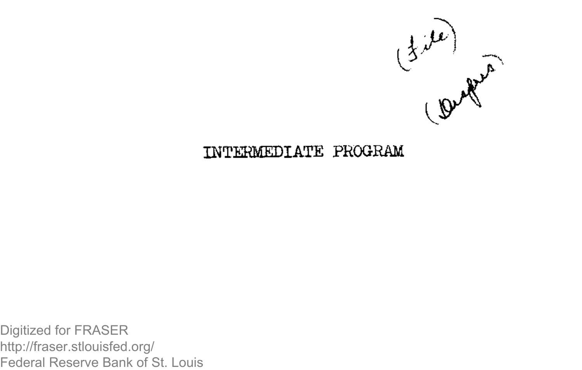

### **INTESMEDIATE PROGRAM**

Digitized for FRASER http://fraser.stlouisfed.org/ Federal Reserve Bank of St. Louis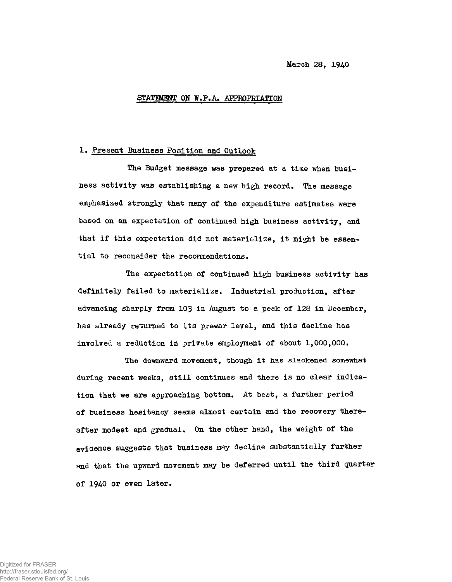## STATEMENT ON W.P.A. APPROPRIATION

#### 1. Present Business Position and Outlook

The Budget message was prepared at a time when business activity was establishing a new high record. The message emphasized strongly that many of the expenditure estimates were based on an expectation of continued high business activity, and that if this expectation did not materialize, it might be essential to reconsider the recommendations.

The expectation of continued high business activity has definitely failed to materialize. Industrial production, after advancing sharply from 103 ia August to a peak of 128 in December, has already returned to its prewar level, and this decline has involved a reduction in private employment of about 1,000,000.

The downward movement, though it has slackened somewhat during recent weeks, still continues and there is no clear indication that we are approaching bottom. At best, a further period of business hesitancy seems almost certain and the recovery thereafter modest and gradual. On the other hand, the weight of the evidence suggests that business may decline substantially further and that the upward movement may be deferred until the third quarter of 1940 or even later.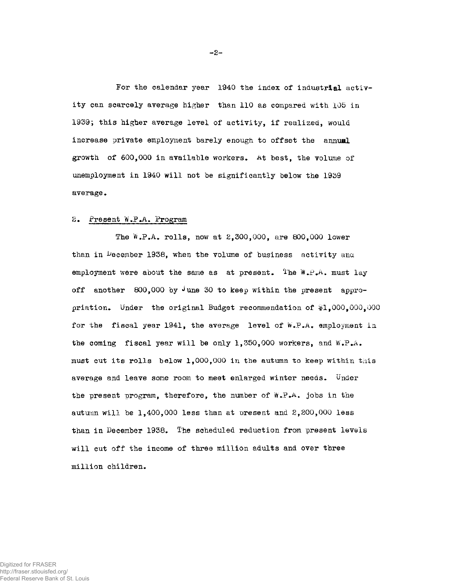For the calendar year 1940 the index of industrial activity can scarcely average higher than 110 as compared with 105 in 1939; this higher average level of activity, if realized, would increase private employment barely enough to offset the annual growth of 600,000 in available workers. At best, the volume of unemployment in 1940 will not be significantly below the 1939 average.

## 2. Present W.P.A. Program

The  $W.P.A.$  rolls, now at  $2,300,000$ , are 800,000 lower than in  $\mu$ ecember 1938, when the volume of business activity and employment were about the same as at present. The  $W_{\star}P_{\star}A_{\star}$  must lay off another 800,000 by  $\sqrt{u}$  une 30 to keep within the present appropriation. Under the original Budget recommendation of  $*1,000,000,000$ for the fiscal year 1941, the average level of W.P.A. employment in the coming fiscal year will be only 1,350,000 workers, and W.P.**a**. must cut its rolls below 1,000,000 in the autumn to keep within this average and leave some room to meet enlarged winter needs. Under the present program, therefore, the number of  $W.F.A.$  jobs in the autumn will be 1,400,000 less than at present and 2,200,000 less than in December 1938. The scheduled reduction from present levels will cut off the income of three million adults and over three million children.

Digitized for FRASER http://fraser.stlouisfed.org/ Federal Reserve Bank of St. Louis  $-2-$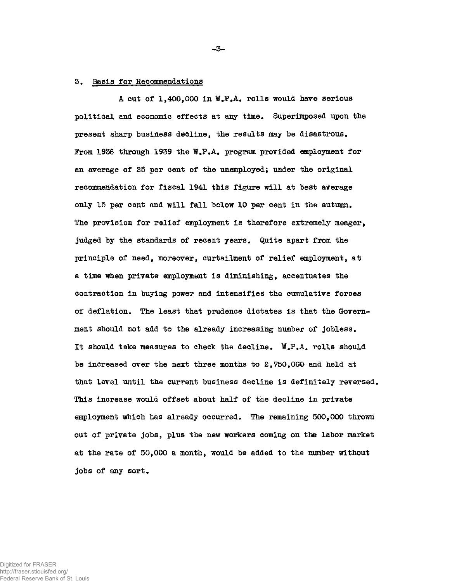# 3. Basis for Recommendations

A cut of 1,400,000 in W.P.A. rolls would have serious political and economic effects at any time. Superimposed upon the present sharp business decline, the results may be disastrous. From 1936 through 1939 the W.P.A. program provided employment for an average of 25 per cent of the unemployed; under the original recommendation for fiscal 1941 this figure will at best average only 15 per cent and will fall below 10 per cent in the autumn. The provision for relief employment is therefore extremely meager, judged by the standards of recent years. Quite apart from the principle of need, moreover, curtailment of relief employment, at a time when private employment is diminishing, accentuates the contraction in buying power and intensifies the cumulative forces of deflation. The least that prudence dictates is that the Government should not add to the already increasing number of jobless. It should take measures to check the decline. W.P.A. rolls should be increased over the next three months to  $2,750,000$  and held at that level until the current business decline is definitely reversed. This increase would offset about half of the decline in private employment which has already occurred. The remaining 500,000 thrown out of private jobs, plus the new workers coming on the labor market at the rate of 50,000 a month, would be added to the number without jobs of any sort.

**- 3 -**